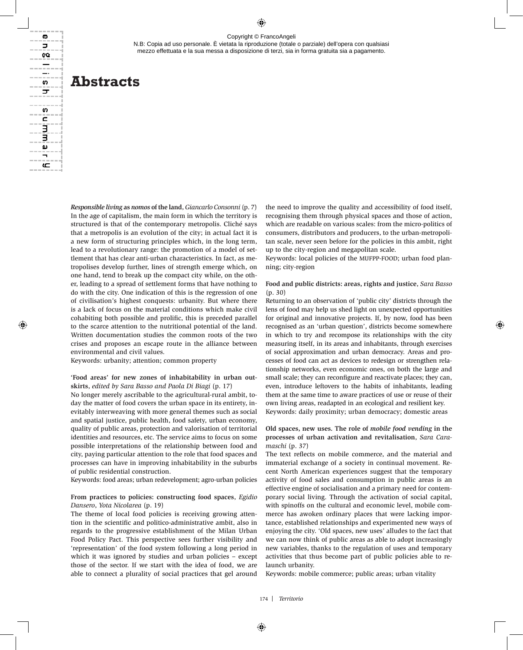N.B: Copia ad uso personale. È vietata la riproduzione (totale o parziale) dell'opera con qualsiasi mezzo effettuata e la sua messa a disposizione di terzi, sia in forma gratuita sia a pagamento.

# **Abstracts**

ወ Þ œ  $-$ \_. s ᠴ

m c

3 ω

ع

*Responsible living* **as** *nomos* **of the land**, *Giancarlo Consonni* (p. 7) In the age of capitalism, the main form in which the territory is structured is that of the contemporary metropolis. Cliché says that a metropolis is an evolution of the city; in actual fact it is a new form of structuring principles which, in the long term, lead to a revolutionary range: the promotion of a model of settlement that has clear anti-urban characteristics. In fact, as metropolises develop further, lines of strength emerge which, on one hand, tend to break up the compact city while, on the other, leading to a spread of settlement forms that have nothing to do with the city. One indication of this is the regression of one of civilisation's highest conquests: urbanity. But where there is a lack of focus on the material conditions which make civil cohabiting both possible and prolific, this is preceded parallel to the scarce attention to the nutritional potential of the land. Written documentation studies the common roots of the two crises and proposes an escape route in the alliance between environmental and civil values.

Keywords: urbanity; attention; common property

**'Food areas' for new zones of inhabitability in urban outskirts**, *edited by Sara Basso and Paola Di Biagi* (p. 17)

No longer merely ascribable to the agricultural-rural ambit, today the matter of food covers the urban space in its entirety, inevitably interweaving with more general themes such as social and spatial justice, public health, food safety, urban economy, quality of public areas, protection and valorisation of territorial identities and resources, etc. The service aims to focus on some possible interpretations of the relationship between food and city, paying particular attention to the role that food spaces and processes can have in improving inhabitability in the suburbs of public residential construction.

Keywords: food areas; urban redevelopment; agro-urban policies

## **From practices to policies: constructing food spaces**, *Egidio Dansero*, *Yota Nicolarea* (p. 19)

The theme of local food policies is receiving growing attention in the scientific and politico-administrative ambit, also in regards to the progressive establishment of the Milan Urban Food Policy Pact. This perspective sees further visibility and 'representation' of the food system following a long period in which it was ignored by studies and urban policies – except those of the sector. If we start with the idea of food, we are able to connect a plurality of social practices that gel around the need to improve the quality and accessibility of food itself, recognising them through physical spaces and those of action, which are readable on various scales: from the micro-politics of consumers, distributors and producers, to the urban-metropolitan scale, never seen before for the policies in this ambit, right up to the city-region and megapolitan scale.

Keywords: local policies of the MUFPP-FOOD; urban food planning; city-region

## **Food and public districts: areas, rights and justice**, *Sara Basso*  (p. 30)

Returning to an observation of 'public city' districts through the lens of food may help us shed light on unexpected opportunities for original and innovative projects. If, by now, food has been recognised as an 'urban question', districts become somewhere in which to try and recompose its relationships with the city measuring itself, in its areas and inhabitants, through exercises of social approximation and urban democracy. Areas and processes of food can act as devices to redesign or strengthen relationship networks, even economic ones, on both the large and small scale; they can reconfigure and reactivate places; they can, even, introduce leftovers to the habits of inhabitants, leading them at the same time to aware practices of use or reuse of their own living areas, readapted in an ecological and resilient key. Keywords: daily proximity; urban democracy; domestic areas

# **Old spaces, new uses. The role of** *mobile food vending* **in the processes of urban activation and revitalisation**, *Sara Caramaschi* (p. 37)

The text reflects on mobile commerce, and the material and immaterial exchange of a society in continual movement. Recent North American experiences suggest that the temporary activity of food sales and consumption in public areas is an effective engine of socialisation and a primary need for contemporary social living. Through the activation of social capital, with spinoffs on the cultural and economic level, mobile commerce has awoken ordinary places that were lacking importance, established relationships and experimented new ways of enjoying the city. 'Old spaces, new uses' alludes to the fact that we can now think of public areas as able to adopt increasingly new variables, thanks to the regulation of uses and temporary activities that thus become part of public policies able to relaunch urbanity.

Keywords: mobile commerce; public areas; urban vitality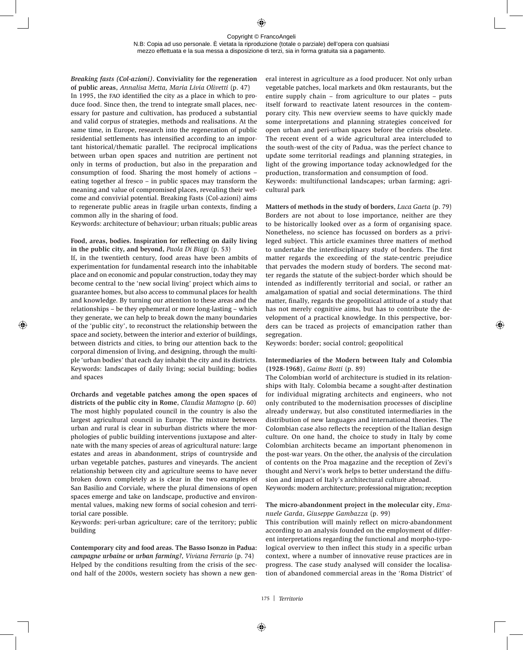#### Copyright © FrancoAngeli N.B: Copia ad uso personale. È vietata la riproduzione (totale o parziale) dell'opera con qualsiasi mezzo effettuata e la sua messa a disposizione di terzi, sia in forma gratuita sia a pagamento.

*Breaking fasts (Col-azioni)***. Conviviality for the regeneration of public areas**, *Annalisa Metta, Maria Livia Olivetti* (p. 47)

In 1995, the fao identified the city as a place in which to produce food. Since then, the trend to integrate small places, necessary for pasture and cultivation, has produced a substantial and valid corpus of strategies, methods and realisations. At the same time, in Europe, research into the regeneration of public residential settlements has intensified according to an important historical/thematic parallel. The reciprocal implications between urban open spaces and nutrition are pertinent not only in terms of production, but also in the preparation and consumption of food. Sharing the most homely of actions – eating together al fresco – in public spaces may transform the meaning and value of compromised places, revealing their welcome and convivial potential. Breaking Fasts (Col-azioni) aims to regenerate public areas in fragile urban contexts, finding a common ally in the sharing of food.

Keywords: architecture of behaviour; urban rituals; public areas

# **Food, areas, bodies. Inspiration for reflecting on daily living in the public city, and beyond,** *Paola Di Biagi* (p. 53)

If, in the twentieth century, food areas have been ambits of experimentation for fundamental research into the inhabitable place and on economic and popular construction, today they may become central to the 'new social living' project which aims to guarantee homes, but also access to communal places for health and knowledge. By turning our attention to these areas and the relationships – be they ephemeral or more long-lasting – which they generate, we can help to break down the many boundaries of the 'public city', to reconstruct the relationship between the space and society, between the interior and exterior of buildings, between districts and cities, to bring our attention back to the corporal dimension of living, and designing, through the multiple 'urban bodies' that each day inhabit the city and its districts. Keywords: landscapes of daily living; social building; bodies and spaces

**Orchards and vegetable patches among the open spaces of districts of the public city in Rome**, *Claudia Mattogno* (p. 60) The most highly populated council in the country is also the largest agricultural council in Europe. The mixture between urban and rural is clear in suburban districts where the morphologies of public building interventions juxtapose and alternate with the many species of areas of agricultural nature: large estates and areas in abandonment, strips of countryside and urban vegetable patches, pastures and vineyards. The ancient relationship between city and agriculture seems to have never broken down completely as is clear in the two examples of San Basilio and Corviale, where the plural dimensions of open spaces emerge and take on landscape, productive and environmental values, making new forms of social cohesion and territorial care possible.

Keywords: peri-urban agriculture; care of the territory; public building

**Contemporary city and food areas. The Basso Isonzo in Padua:**  *campagne urbaine* **or** *urban farming?*, *Viviana Ferrario* (p. 74) Helped by the conditions resulting from the crisis of the second half of the 2000s, western society has shown a new general interest in agriculture as a food producer. Not only urban vegetable patches, local markets and 0km restaurants, but the entire supply chain – from agriculture to our plates – puts itself forward to reactivate latent resources in the contemporary city. This new overview seems to have quickly made some interpretations and planning strategies conceived for open urban and peri-urban spaces before the crisis obsolete. The recent event of a wide agricultural area intercluded to the south-west of the city of Padua, was the perfect chance to update some territorial readings and planning strategies, in light of the growing importance today acknowledged for the production, transformation and consumption of food.

Keywords: multifunctional landscapes; urban farming; agricultural park

**Matters of methods in the study of borders**, *Luca Gaeta* (p. 79) Borders are not about to lose importance, neither are they to be historically looked over as a form of organising space. Nonetheless, no science has focussed on borders as a privileged subject. This article examines three matters of method to undertake the interdisciplinary study of borders. The first matter regards the exceeding of the state-centric prejudice that pervades the modern study of borders. The second matter regards the statute of the subject-border which should be intended as indifferently territorial and social, or rather an amalgamation of spatial and social determinations. The third matter, finally, regards the geopolitical attitude of a study that has not merely cognitive aims, but has to contribute the development of a practical knowledge. In this perspective, borders can be traced as projects of emancipation rather than segregation.

Keywords: border; social control; geopolitical

## **Intermediaries of the Modern between Italy and Colombia (1928-1968)**, *Gaime Botti* (p. 89)

The Colombian world of architecture is studied in its relationships with Italy. Colombia became a sought-after destination for individual migrating architects and engineers, who not only contributed to the modernisation processes of discipline already underway, but also constituted intermediaries in the distribution of new languages and international theories. The Colombian case also reflects the reception of the Italian design culture. On one hand, the choice to study in Italy by come Colombian architects became an important phenomenon in the post-war years. On the other, the analysis of the circulation of contents on the Proa magazine and the reception of Zevi's thought and Nervi's work helps to better understand the diffusion and impact of Italy's architectural culture abroad.

Keywords: modern architecture; professional migration; reception

## **The micro-abandonment project in the molecular city**, *Emanuele Garda*, *Giuseppe Gambazza* (p. 99)

This contribution will mainly reflect on micro-abandonment according to an analysis founded on the employment of different interpretations regarding the functional and morpho-typological overview to then inflect this study in a specific urban context, where a number of innovative reuse practices are in progress. The case study analysed will consider the localisation of abandoned commercial areas in the 'Roma District' of